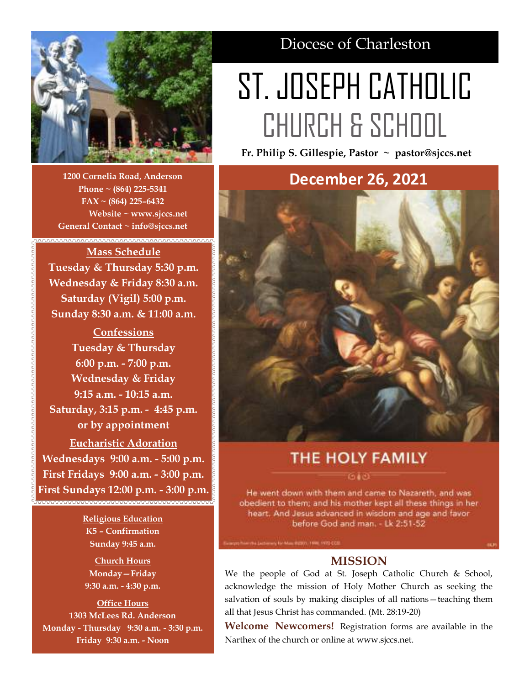

**1200 Cornelia Road, Anderson Phone ~ (864) 225-5341 FAX ~ (864) 225–6432 Website ~ [www.sjccs.net](http://www.sjccs.net) General Contact ~ info@sjccs.net**

,,,,,,,,,,,,,,,,,,,,,,,,,,,,,,,,,

# **Mass Schedule Tuesday & Thursday 5:30 p.m. Wednesday & Friday 8:30 a.m. Saturday (Vigil) 5:00 p.m. Sunday 8:30 a.m. & 11:00 a.m.**

**Confessions Tuesday & Thursday 6:00 p.m. - 7:00 p.m. Wednesday & Friday 9:15 a.m. - 10:15 a.m. Saturday, 3:15 p.m. - 4:45 p.m. or by appointment Eucharistic Adoration Wednesdays 9:00 a.m. - 5:00 p.m. First Fridays 9:00 a.m. - 3:00 p.m. First Sundays 12:00 p.m. - 3:00 p.m.**

> **Religious Education K5 – Confirmation Sunday 9:45 a.m.**

**Church Hours Monday—Friday 9:30 a.m. - 4:30 p.m.**

**Office Hours 1303 McLees Rd. Anderson Monday - Thursday 9:30 a.m. - 3:30 p.m. Friday 9:30 a.m. - Noon**

# Diocese of Charleston

# ST. JOSEPH CATHOLIC CHURCH & SCHOOL

**Fr. Philip S. Gillespie, Pastor ~ pastor@sjccs.net**

# **December 26, 2021**



# THE HOLY FAMILY

He went down with them and came to Nazareth, and was obedient to them; and his mother kept all these things in her heart. And Jesus advanced in wisdom and age and favor before God and man. - Lk 2:51-52

### **MISSION**

We the people of God at St. Joseph Catholic Church & School, acknowledge the mission of Holy Mother Church as seeking the salvation of souls by making disciples of all nations—teaching them all that Jesus Christ has commanded. (Mt. 28:19-20)

**Welcome Newcomers!** Registration forms are available in the Narthex of the church or online at www.sjccs.net.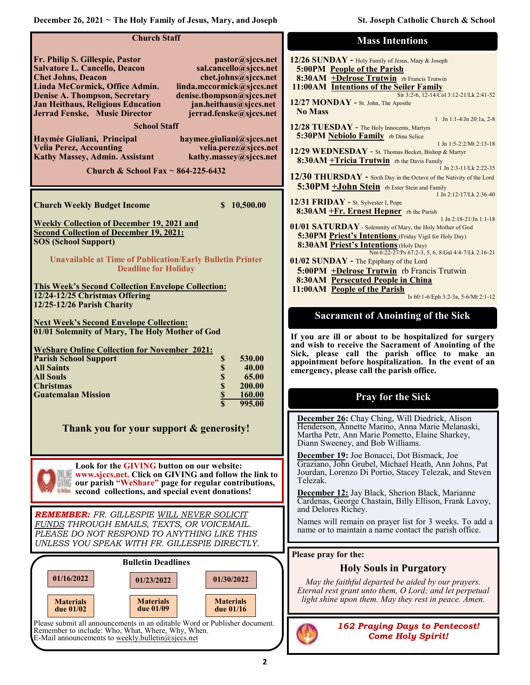| <b>Church Staff</b>                                                                                                                                                                                                                                                                                                                                                                                                                                                                                                                                                                                                                                                                           | <b>Mass Intentions</b>                                                                                                                                                                                                                                                                                                                                                                                                                                                                                                                                                                                                                                                                 |
|-----------------------------------------------------------------------------------------------------------------------------------------------------------------------------------------------------------------------------------------------------------------------------------------------------------------------------------------------------------------------------------------------------------------------------------------------------------------------------------------------------------------------------------------------------------------------------------------------------------------------------------------------------------------------------------------------|----------------------------------------------------------------------------------------------------------------------------------------------------------------------------------------------------------------------------------------------------------------------------------------------------------------------------------------------------------------------------------------------------------------------------------------------------------------------------------------------------------------------------------------------------------------------------------------------------------------------------------------------------------------------------------------|
| Fr. Philip S. Gillespie, Pastor<br>pastor@sjccs.net<br><b>Salvatore L. Cancello, Deacon</b><br>sal.cancello@sjccs.net<br><b>Chet Johns, Deacon</b><br>chet.johns@sjccs.net<br>Linda McCormick, Office Admin.<br>linda.mccormick@sjccs.net<br><b>Denise A. Thompson, Secretary</b><br>denise.thompson@sjccs.net<br>Jan Heithaus, Religious Education<br>jan.heithaus@sjccs.net<br>Jerrad Fenske, Music Director<br>jerrad.fenske@sjccs.net<br><b>School Staff</b><br>Haymée Giuliani, Principal<br>haymee.giuliani@sjccs.net<br><b>Velia Perez, Accounting</b><br>velia.perez@sjccs.net<br>Kathy Massey, Admin. Assistant<br>kathy.massey@sjccs.net<br>Church & School Fax $\sim$ 864-225-6432 | 12/26 SUNDAY - Holy Family of Jesus, Mary & Joseph<br>5:00PM People of the Parish<br>8:30AM +Delrose Trutwin rb Francis Trutwin<br>11:00AM Intentions of the Seiler Family<br>Sir 3:2-6, 12-14/Col 3:12-21/Lk 2:41-52<br>12/27 MONDAY - St. John, The Apostle<br><b>No Mass</b><br>1 Jn 1:1-4/Jn 20:1a, 2-8<br>12/28 TUESDAY - The Holy Innocents, Martyrs<br>5:30PM Nebiolo Family rb Dina Selice<br>1 Jn 1:5-2:2/Mt 2:13-18<br>12/29 WEDNESDAY - St. Thomas Becket, Bishop & Martyr<br>8:30AM + Tricia Trutwin rb the Davis Family<br>1 Jn 2:3-11/Lk 2:22-35<br>12/30 THURSDAY - Sixth Day in the Octave of the Nativity of the Lord<br>5:30PM +John Stein rb Ester Stein and Family |
| \$10,500.00<br><b>Church Weekly Budget Income</b>                                                                                                                                                                                                                                                                                                                                                                                                                                                                                                                                                                                                                                             | 1 Jn 2:12-17/Lk 2:36-40<br>12/31 FRIDAY - St. Sylvester I, Pope<br>8:30AM +Fr. Ernest Hepner rb the Parish                                                                                                                                                                                                                                                                                                                                                                                                                                                                                                                                                                             |
| <b>Weekly Collection of December 19, 2021 and</b><br><b>Second Collection of December 19, 2021:</b><br><b>SOS (School Support)</b><br><b>Unavailable at Time of Publication/Early Bulletin Printer</b>                                                                                                                                                                                                                                                                                                                                                                                                                                                                                        | $1$ Jn $2:18-21/Jn$ 1:1-18<br>01/01 SATURDAY - Solemnity of Mary, the Holy Mother of God<br><b>5:30PM Priest's Intentions</b> (Friday Vigil for Holy Day)<br>8:30AM Priest's Intentions (Holy Day)<br>Nm 6:22-27/Ps 67:2-3, 5, 6, 8/Gal 4:4-7/Lk 2:16-21<br>01/02 SUNDAY - The Epiphany of the Lord                                                                                                                                                                                                                                                                                                                                                                                    |
| <b>Deadline for Holiday</b><br><b>This Week's Second Collection Envelope Collection:</b><br>12/24-12/25 Christmas Offering<br>12/25-12/26 Parish Charity                                                                                                                                                                                                                                                                                                                                                                                                                                                                                                                                      | 5:00PM +Delrose Trutwin rb Francis Trutwin<br><b>8:30AM Persecuted People in China</b><br>11:00AM People of the Parish<br>Is 60:1-6/Eph 3:2-3a, 5-6/Mt 2:1-12<br><b>Sacrament of Anointing of the Sick</b>                                                                                                                                                                                                                                                                                                                                                                                                                                                                             |
| <b>Next Week's Second Envelope Collection:</b><br>01/01 Solemnity of Mary, The Holy Mother of God<br><b>WeShare Online Collection for November 2021:</b><br><b>Parish School Support</b><br>\$<br>530.00<br><b>All Saints</b><br>40.00<br>\$<br>\$<br>65.00<br><b>All Souls</b><br>\$<br>200.00<br><b>Christmas</b><br><b>Guatemalan Mission</b><br>\$<br>160.00<br>995.00                                                                                                                                                                                                                                                                                                                    | If you are ill or about to be hospitalized for surgery<br>and wish to receive the Sacrament of Anointing of the<br>Sick, please call the parish office to make an<br>appointment before hospitalization. In the event of an<br>emergency, please call the parish office.<br><b>Pray for the Sick</b>                                                                                                                                                                                                                                                                                                                                                                                   |
| Thank you for your support & generosity!                                                                                                                                                                                                                                                                                                                                                                                                                                                                                                                                                                                                                                                      | December 26: Chay Ching, Will Diedrick, Alison<br>Henderson, Annette Marino, Anna Marie Melanaski,<br>Martha Petr, Ann Marie Pometto, Elaine Sharkey,<br>Diann Sweeney, and Bob Williams.                                                                                                                                                                                                                                                                                                                                                                                                                                                                                              |
| Look for the GIVING button on our website:<br>www.sjccs.net. Click on GIVING and follow the link to<br>our parish "WeShare" page for regular contributions,<br>second collections, and special event donations!                                                                                                                                                                                                                                                                                                                                                                                                                                                                               | December 19: Joe Bonacci, Dot Bismack, Joe<br>Graziano, John Grubel, Michael Heath, Ann Johns, Pat<br>Jourdan, Lorenzo Di Portio, Stacey Telezak, and Steven<br>Telezak.<br>December 12: Jay Black, Sherion Black, Marianne<br>Cardenas, George Chastain, Billy Ellison, Frank Lavoy,                                                                                                                                                                                                                                                                                                                                                                                                  |
| REMEMBER: FR. GILLESPIE WILL NEVER SOLICIT<br>FUNDS THROUGH EMAILS, TEXTS, OR VOICEMAIL.<br>PLEASE DO NOT RESPOND TO ANYTHING LIKE THIS<br>UNLESS YOU SPEAK WITH FR. GILLESPIE DIRECTLY.                                                                                                                                                                                                                                                                                                                                                                                                                                                                                                      | and Delores Richey.<br>Names will remain on prayer list for 3 weeks. To add a<br>name or to maintain a name contact the parish office.                                                                                                                                                                                                                                                                                                                                                                                                                                                                                                                                                 |
| <b>Bulletin Deadlines</b>                                                                                                                                                                                                                                                                                                                                                                                                                                                                                                                                                                                                                                                                     | Please pray for the:                                                                                                                                                                                                                                                                                                                                                                                                                                                                                                                                                                                                                                                                   |
| 01/16/2022<br>01/30/2022<br>01/23/2022<br><b>Materials</b><br><b>Materials</b><br><b>Materials</b><br>due 01/09<br>due $01/16$<br>due 01/02                                                                                                                                                                                                                                                                                                                                                                                                                                                                                                                                                   | <b>Holy Souls in Purgatory</b><br>May the faithful departed be aided by our prayers.<br>Eternal rest grant unto them, O Lord; and let perpetual<br>light shine upon them. May they rest in peace. Amen.                                                                                                                                                                                                                                                                                                                                                                                                                                                                                |
| Please submit all announcements in an editable Word or Publisher document.<br>Remember to include: Who, What, Where, Why, When.<br>E-Mail announcements to weekly.bulletin@sjccs.net                                                                                                                                                                                                                                                                                                                                                                                                                                                                                                          | <b>162 Praying Days to Pentecost!</b><br><b>Come Holy Spirit!</b>                                                                                                                                                                                                                                                                                                                                                                                                                                                                                                                                                                                                                      |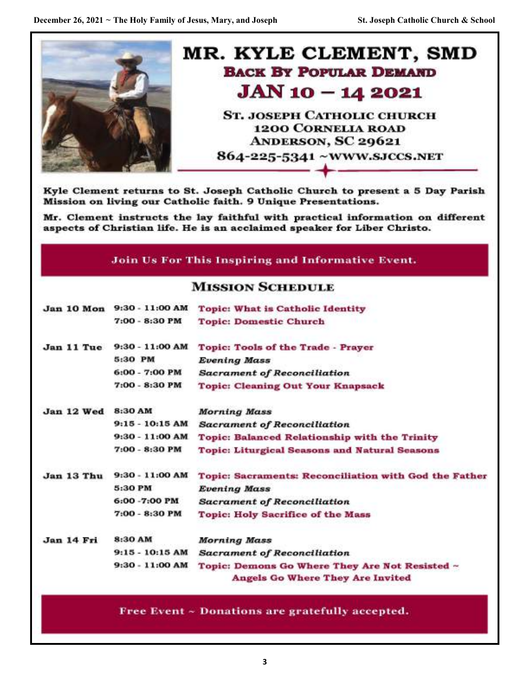

Kyle Clement returns to St. Joseph Catholic Church to present a 5 Day Parish Mission on living our Catholic faith. 9 Unique Presentations.

Mr. Clement instructs the lay faithful with practical information on different aspects of Christian life. He is an acclaimed speaker for Liber Christo.

# Join Us For This Inspiring and Informative Event.

# **MISSION SCHEDULE**

| Jan 10 Mon | 9:30 - 11:00 AM   | <b>Topic: What is Catholic Identity</b>                                                   |
|------------|-------------------|-------------------------------------------------------------------------------------------|
|            | 7:00 - 8:30 PM    | <b>Topic: Domestic Church</b>                                                             |
| Jan 11 Tue | $9:30 - 11:00$ AM | Topic: Tools of the Trade - Prayer                                                        |
|            | 5:30 PM           | <b>Evening Mass</b>                                                                       |
|            | 6:00 - 7:00 PM    | <b>Sacrament of Reconciliation</b>                                                        |
|            | 7:00 - 8:30 PM    | <b>Topic: Cleaning Out Your Knapsack</b>                                                  |
| Jan 12 Wed | 8:30 AM           | <b>Morning Mass</b>                                                                       |
|            | $9:15 - 10:15$ AM | <b>Sacrament of Reconciliation</b>                                                        |
|            | $9:30 - 11:00 AM$ | <b>Topic: Balanced Relationship with the Trinity</b>                                      |
|            | 7:00 - 8:30 PM    | <b>Topic: Liturgical Seasons and Natural Seasons</b>                                      |
| Jan 13 Thu | 9:30 - 11:00 AM   | Topic: Sacraments: Reconciliation with God the Father                                     |
|            | 5:30 PM           | <b>Evening Mass</b>                                                                       |
|            | 6:00 -7:00 PM     | <b>Sacrament of Reconciliation</b>                                                        |
|            | 7:00 - 8:30 PM    | <b>Topic: Holy Sacrifice of the Mass</b>                                                  |
| Jan 14 Fri | 8:30 AM           | Morning Mass                                                                              |
|            | $9:15 - 10:15$ AM | <b>Sacrament of Reconciliation</b>                                                        |
|            | $9:30 - 11:00 AM$ | Topic: Demons Go Where They Are Not Resisted ~<br><b>Angels Go Where They Are Invited</b> |
|            |                   |                                                                                           |

Free Event ~ Donations are gratefully accepted.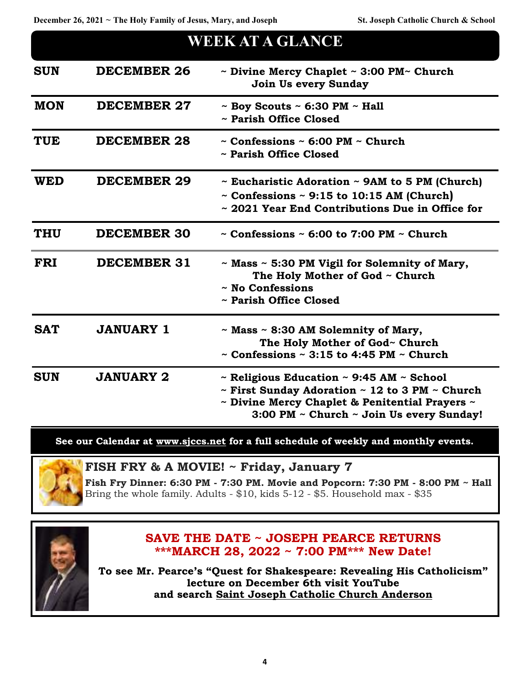| WEEK AT A GLANCE |                    |                                                                                                                                                                                                                                  |
|------------------|--------------------|----------------------------------------------------------------------------------------------------------------------------------------------------------------------------------------------------------------------------------|
| <b>SUN</b>       | <b>DECEMBER 26</b> | $\sim$ Divine Mercy Chaplet $\sim$ 3:00 PM $\sim$ Church<br><b>Join Us every Sunday</b>                                                                                                                                          |
| <b>MON</b>       | <b>DECEMBER 27</b> | $\sim$ Boy Scouts $\sim$ 6:30 PM $\sim$ Hall<br>~ Parish Office Closed                                                                                                                                                           |
| <b>TUE</b>       | <b>DECEMBER 28</b> | $\sim$ Confessions $\sim$ 6:00 PM $\sim$ Church<br>~ Parish Office Closed                                                                                                                                                        |
| <b>WED</b>       | <b>DECEMBER 29</b> | $\sim$ Eucharistic Adoration $\sim$ 9AM to 5 PM (Church)<br>$\sim$ Confessions $\sim$ 9:15 to 10:15 AM (Church)<br>~ 2021 Year End Contributions Due in Office for                                                               |
| <b>THU</b>       | <b>DECEMBER 30</b> | $\sim$ Confessions $\sim$ 6:00 to 7:00 PM $\sim$ Church                                                                                                                                                                          |
| <b>FRI</b>       | <b>DECEMBER 31</b> | ~ Mass ~ 5:30 PM Vigil for Solemnity of Mary,<br>The Holy Mother of God ~ Church<br>$\sim$ No Confessions<br>~ Parish Office Closed                                                                                              |
| <b>SAT</b>       | <b>JANUARY 1</b>   | $\sim$ Mass $\sim$ 8:30 AM Solemnity of Mary,<br>The Holy Mother of God~ Church<br>$\sim$ Confessions $\sim$ 3:15 to 4:45 PM $\sim$ Church                                                                                       |
| <b>SUN</b>       | <b>JANUARY 2</b>   | $\sim$ Religious Education $\sim$ 9:45 AM $\sim$ School<br>$\sim$ First Sunday Adoration $\sim$ 12 to 3 PM $\sim$ Church<br>$\sim$ Divine Mercy Chaplet & Penitential Prayers $\sim$<br>3:00 PM ~ Church ~ Join Us every Sunday! |

**See our Calendar at [www.sjccs.net](http://www.sjccs.net) for a full schedule of weekly and monthly events.**



**FISH FRY & A MOVIE! ~ Friday, January 7**

**Fish Fry Dinner: 6:30 PM - 7:30 PM. Movie and Popcorn: 7:30 PM - 8:00 PM ~ Hall** Bring the whole family. Adults - \$10, kids 5-12 - \$5. Household max - \$35



## **SAVE THE DATE ~ JOSEPH PEARCE RETURNS \*\*\*MARCH 28, 2022 ~ 7:00 PM\*\*\* New Date!**

**To see Mr. Pearce's "Quest for Shakespeare: Revealing His Catholicism" lecture on December 6th visit YouTube and search [Saint Joseph Catholic Church Anderson](#page-4-0)**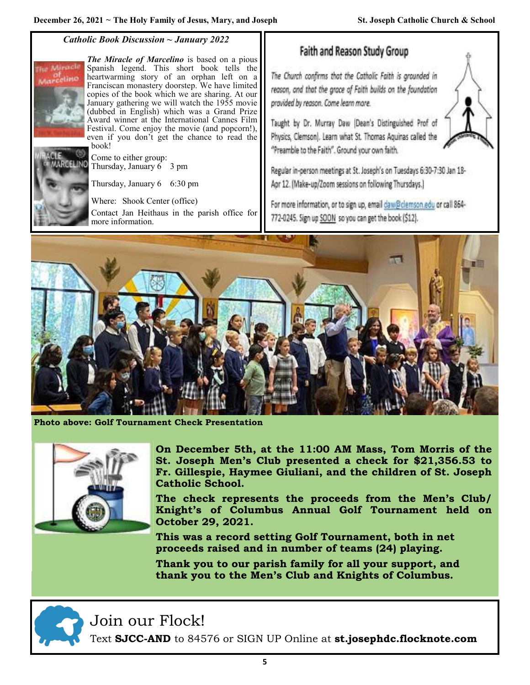#### *Catholic Book Discussion ~ January 2022*

<span id="page-4-0"></span>

*The Miracle of Marcelino* is based on a pious Spanish legend. This short book tells the heartwarming story of an orphan left on a Franciscan monastery doorstep. We have limited copies of the book which we are sharing. At our January gathering we will watch the 1955 movie (dubbed in English) which was a Grand Prize Award winner at the International Cannes Film Festival. Come enjoy the movie (and popcorn!), even if you don't get the chance to read the book!

Come to either group: Thursday, January 6 3 pm

Thursday, January 6 6:30 pm

Where: Shook Center (office)

Contact Jan Heithaus in the parish office for more information.

Faith and Reason Study Group

The Church confirms that the Catholic Faith is grounded in reason, and that the grace of Faith builds on the foundation provided by reason. Come learn more.

Taught by Dr. Murray Daw (Dean's Distinguished Prof of Physics, Clemson). Learn what St. Thomas Aquinas called the "Preamble to the Faith". Ground your own faith.

Regular in-person meetings at St. Joseph's on Tuesdays 6:30-7:30 Jan 18-Apr 12. (Make-up/Zoom sessions on following Thursdays.)

For more information, or to sign up, email daw@clemson.edu or call 864-772-0245. Sign up SOON so you can get the book (\$12).



**Photo above: Golf Tournament Check Presentation** 



**On December 5th, at the 11:00 AM Mass, Tom Morris of the St. Joseph Men's Club presented a check for \$21,356.53 to Fr. Gillespie, Haymee Giuliani, and the children of St. Joseph Catholic School.** 

**The check represents the proceeds from the Men's Club/ Knight's of Columbus Annual Golf Tournament held on October 29, 2021.** 

**This was a record setting Golf Tournament, both in net proceeds raised and in number of teams (24) playing.** 

**Thank you to our parish family for all your support, and thank you to the Men's Club and Knights of Columbus.**



Join our Flock!

Text **SJCC-AND** to 84576 or SIGN UP Online at **st.josephdc.flocknote.com**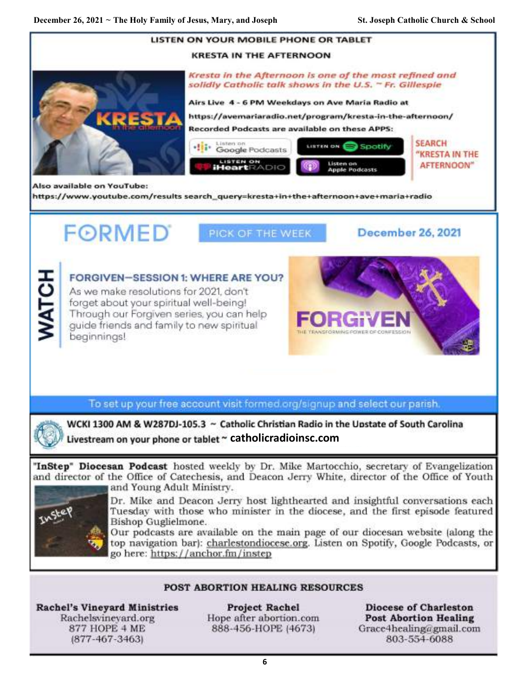

**6**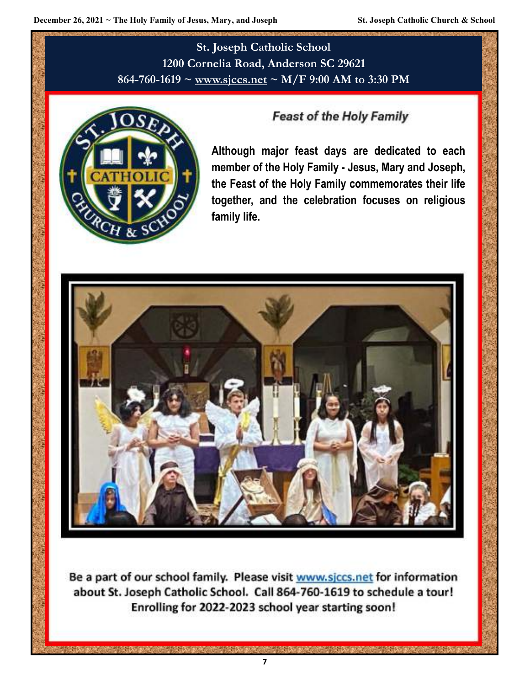**St. Joseph Catholic School 1200 Cornelia Road, Anderson SC 29621 864-760-1619 ~ [www.sjccs.net](http://www.sjccs.net) ~ M/F 9:00 AM to 3:30 PM**



# **Feast of the Holy Family**

**Although major feast days are dedicated to each member of the Holy Family - Jesus, Mary and Joseph, the Feast of the Holy Family commemorates their life together, and the celebration focuses on religious family life.**



Be a part of our school family. Please visit www.sjccs.net for information about St. Joseph Catholic School. Call 864-760-1619 to schedule a tour! Enrolling for 2022-2023 school year starting soon!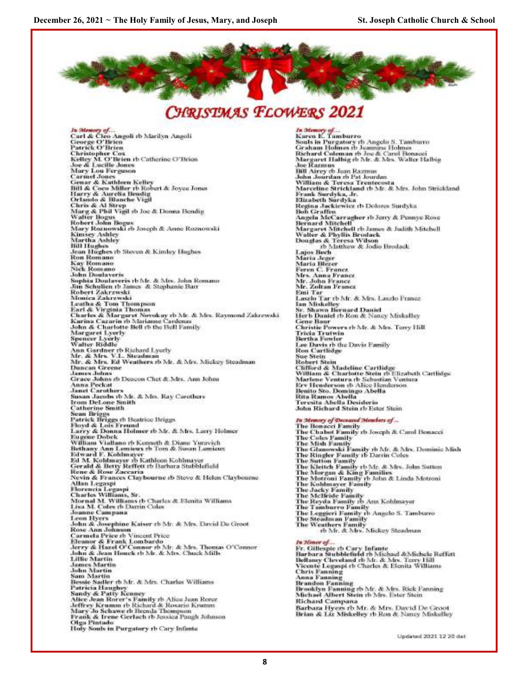



*In Memory of*...<br>Carl & Cleo Angoli rb Marilyn Angoli<br>George O'Brien<br>Patrick O'Brien Patrick Or Dren<br>Christopher Cox<br>Kelley M. O'Brien th Catherine O'Brien<br>Joe & Lucille Jones **Mary Lou Ferguson**<br>Carmel Jones Carmel Jones<br>Cenar & Kathleen Kelley<br>Bill & Coco Miller th Robert & Joyce Jones<br>Bill & Coco Miller th Robert & Joyce Jones<br>Marry & Aurelia Bendig<br>Chando & Rilanche Vigil<br>Chris & Al Strep<br>Walter Bogus<br>Walter Bogus<br>Robert Jo Kimsey Ashley<br>Martha Ashley **Sall Hughes**<br>Jean Hughes rb Steven & Kimley Hughes<br>Ron Romano<br>Nick Romano<br>John Doulayeris<br>John Doulayeris Sophia Doulaveris rb Mr. & Mrs. John Romano<br>Jim Schulien rb James & Stephanie Barr Robert Zakrzwski<br>Monica Zakrzwski Nuones Zakrzwaki<br>Lentha & Tom Thompson<br>Earl & Virginia Thomas<br>Earl & Virginia Thomas<br>Charles & Margaret Norveking Cardenas<br>Karima Cazarin & Marianne Cardenas<br>John & Charlotte Bell & the Bell Family Margaret Lyerly<br>Sponcer Lyerly<br>Walter Riddle watter Bostone<br>Ann Gardner th Richard Lycrly<br>Mr. & Mrs. V.L. Steadman<br>Mr. & Mrs. Ed Weathers rb Mr. & Mrs. Mickey Steadman **Duncan Greene** James Johns Grace Johns rb Deacon Chet & Mrs. Ann Johns Anna Peckat<br>Janet Carothers Susan Jacobs rb Mr. & Mrs. Ray Carothers<br>Irom DeLone Smith **Catherine Smith**<br>Sean Briggs Search Reiggs ab Beatrice Briggs<br>Patrick Briggs ab Beatrice Briggs<br>Larry & Donna Holmer rb Mr. & Mrs. Larry Holmer<br>Eugene Dobek William Viallano rb Kenneth & Diane Yuravich Vention Vietnam in Lemisux rb Tom & Susan Lemisus<br>Edward F. Kohlmayer<br>Ed M. Kohlmayer rb Kathleen Kohlmayer<br>Ed M. Kohlmayer rb Kathleen Kohlmayer<br>Gerald & Besty Reflect rb Barbara Stubblefield<br>Rene & Rose Zaccaria<br>Nevin & Neva & Frances Claybourne eb Steve & Helen Cla<br>Allan Legaspi<br>Florencia Legaspi<br>Charles Williams, Sr.<br>Charles Williams, Sr.<br>Mornal M. Williams, Sr.<br>Jasa M. Coles rb Darrin Coles<br>Leon Hvers Joann Campana<br>
Leon Hyers<br>
John & Josephine Kaiser rb Mr. & Mrs, David De Groot<br>
Rose Ann Johnson<br>
Carmela Price e ib Vincent Price<br>
Carmela Price e ib Vincent Price<br>
Eleanor & Frank Lombardo<br>
Jerry & Hazel O'Connor rb Mr. Lillie Martin<br>James Martin<br>John Martin<br>Sam Martin Bessie Saeller rb Mr. & Mrs. Charles Williams<br>Patricia Haughey<br>Sandy & Patty Kenney Sunny os Franty Kommey<br>Alice Jean Rorer's Family rb Alice Jean Rorer<br>Jeffrey Krumm rb Richard & Rosario Krumm<br>Mary Jo Schawe rb Brenda Thompson<br>Frank & Irene Gerlach rb Jessica Paugh Johnson **Olga Pintado** Holy Souls in Purgatory rb Cary Infante

In Mer *In Memory of*...<br>Karen E. Tamburro Souls in Purgatory th Angelo S. Tamburo<br>Graham Holmes ib Jeannane Holmes<br>Richard Coleman th Joe & Carol Bosacci Margaret Halbig rb Mr. & Mrs. Walter Halbig<br>Joe Razmus Jose Kazmus<br>Bill Airey to Jean Razmus<br>John Jourdan ro Pat Jourdan<br>Miltann & Teresu Trentecosta<br>Marceline Strickland to Mr. & Mrs. John Strickland<br>Frank Surdyka, Jr. Elizabeth Surdyka<br>Regina Jackiewicz rb Dolores Surdyka<br>Bob Graffen<br>Angela MeCarragher rb Jerry & Pennye Rose Angela Met arragner to Jerry & Femaye Rose<br>Bernard Mitchell<br>Margaret Mitchell rb Jamas & Judith Mitchell<br>Walter & Phyllis Brodack<br>Douglas & Teresa Wilson<br>Lagos Bech<br>Lagos Bech Maria Jeger<br>Maria Blezer eren C. Francz Mrs. Anna Francz<br>Mr. John Francz<br>Mr. Zoltan Francz Emi Tar Laszlo Tar rb Mr. & Mrs. Laszlo Prancz<br>Ian Miskelley<br>Sr. Shawn Bernard Daniel<br>Herb Daniel rb Ron & Nancy Miskalley Gene Baur<br>Christie Powers rb Mr. & Mrs. Teny Hill **Tricia Trutwin<br>Bertha Fowler** Lee Davis rb the Davis Family<br>Ron Cartlidge Sue Stein sue secu<br>Chifford & Madeline Cartlidge<br>William & Charlotte Stein ro Elizabeth Cartlidge<br>Mariene Ventura ro Sebastian Ventura Erv Henderson eb Alice Henderson<br>Benito Sto. Domingo Abella Rita Ramos Abella<br>Teresita Abella Desiderio John Richard Stein rb Ester Stein

ary of De d Members of ... *In Monory of Deceased Members of ...*<br>The Bonacci Family<br>The Chabot Family rb Joseph & Carol Bonacci The Chabot Family rb Joseph & Carol Bonacci<br>The Coles Family<br>The Mish Pamily<br>The Shanger Family<br>The Shanger Family rb Mr. & Mrs. Dominic Mish<br>The Singler Family rb Darrin Coles<br>The Surton Family rb Mr. & Mrs. John Sutton<br>T The Tamburro Family<br>The Leggieri Family rb Angelo S. Tamburro<br>The Steadman Family<br>The Weathers Family<br>th Mr. & Mrs. Mickey Steadman<br>th Mr. & Mrs. Mickey Steadman **En Zómor of ...**<br>Fr. Gillespie rb Cary Infante<br>Barbara Stubblefield rb Michael &Michele Reffett<br>Beltany Cleveland rb Mr. & Mrs. Terry Hill<br>Vicente Legençi rb Charles & Elenita Williams<br>Chris Fanning<br>Anna Fanning<br>Brundon F

Lindated 2021 12 20 dat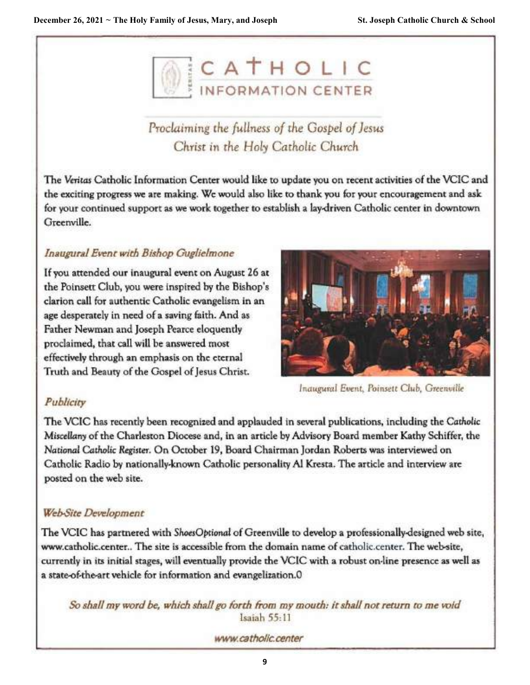

# Proclaiming the fullness of the Gospel of Jesus Christ in the Holy Catholic Church

The Veritas Catholic Information Center would like to update you on recent activities of the VCIC and the exciting progress we are making. We would also like to thank you for your encouragement and ask for your continued support as we work together to establish a lay-driven Catholic center in downtown Greenville.

# Inaugural Event with Bishop Guglielmone

If you attended our inaugural event on August 26 at the Poinsett Club, you were inspired by the Bishop's clarion call for authentic Catholic evangelism in an age desperately in need of a saving faith. And as Father Newman and Joseph Pearce eloquently proclaimed, that call will be answered most effectively through an emphasis on the eternal Truth and Beauty of the Gospel of Jesus Christ.



Inaugural Event, Poinsett Club, Greenville

# Publicity

The VCIC has recently been recognized and applauded in several publications, including the Catholic Miscellany of the Charleston Diocese and, in an article by Advisory Board member Kathy Schiffer, the National Catholic Register. On October 19, Board Chairman Jordan Roberts was interviewed on Catholic Radio by nationally-known Catholic personality Al Kresta. The article and interview are posted on the web site.

# **Web-Site Development**

The VCIC has partnered with ShoesOptional of Greenville to develop a professionally-designed web site, www.catholic.center.. The site is accessible from the domain name of catholic.center. The web-site, currently in its initial stages, will eventually provide the VCIC with a robust on-line presence as well as a state-of-the-art vehicle for information and evangelization.0

So shall my word be, which shall go forth from my mouth: it shall not return to me void Isaiah 55:11

www.catholic.center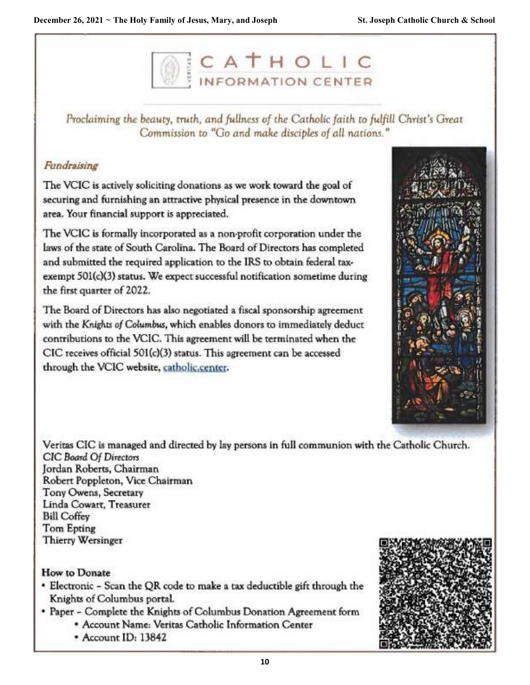

Proclaiming the beauty, truth, and fullness of the Catholic faith to fulfill Christ's Great Commission to "Go and make disciples of all nations."

## Fundraising

The VCIC is actively soliciting donations as we work toward the goal of securing and furnishing an attractive physical presence in the downtown area. Your financial support is appreciated.

The VCIC is formally incorporated as a non-profit corporation under the laws of the state of South Carolina. The Board of Directors has completed and submitted the required application to the IRS to obtain federal taxexempt 501(c)(3) status. We expect successful notification sometime during the first quarter of 2022.

The Board of Directors has also negotiated a fiscal sponsorship agreement with the Knights of Columbus, which enables donors to immediately deduct contributions to the VCIC. This agreement will be terminated when the CIC receives official 501(c)(3) status. This agreement can be accessed through the VCIC website, catholic.center.



Veritas CIC is managed and directed by lay persons in full communion with the Catholic Church. CIC Board Of Directors Jordan Roberts, Chairman Robert Poppleton, Vice Chairman Tony Owens, Secretary Linda Cowart, Treasurer **Bill Coffey Tom Epting** 

**Thierry Wersinger** 

### **How to Donate**

- Electronic Scan the QR code to make a tax deductible gift through the Knights of Columbus portal.
- \* Paper Complete the Knights of Columbus Donation Agreement form
	- \* Account Name: Veritas Catholic Information Center
	- \* Account ID: 13842

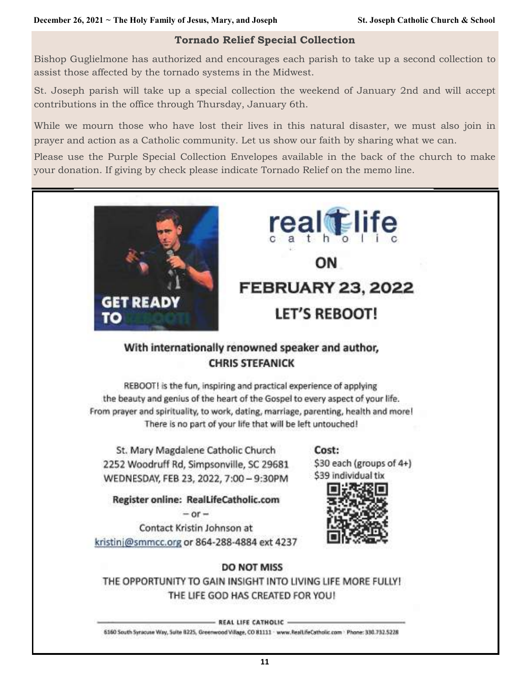#### **Tornado Relief Special Collection**

Bishop Guglielmone has authorized and encourages each parish to take up a second collection to assist those affected by the tornado systems in the Midwest.

St. Joseph parish will take up a special collection the weekend of January 2nd and will accept contributions in the office through Thursday, January 6th.

While we mourn those who have lost their lives in this natural disaster, we must also join in prayer and action as a Catholic community. Let us show our faith by sharing what we can.

Please use the Purple Special Collection Envelopes available in the back of the church to make your donation. If giving by check please indicate Tornado Relief on the memo line.



# **real** life OΝ **FEBRUARY 23, 2022 LET'S REBOOT!**

# With internationally renowned speaker and author, **CHRIS STEFANICK**

REBOOT! is the fun, inspiring and practical experience of applying the beauty and genius of the heart of the Gospel to every aspect of your life. From prayer and spirituality, to work, dating, marriage, parenting, health and more! There is no part of your life that will be left untouched!

St. Mary Magdalene Catholic Church 2252 Woodruff Rd, Simpsonville, SC 29681 WEDNESDAY, FEB 23, 2022, 7:00 - 9:30PM

Cost:

\$30 each (groups of 4+) \$39 individual tix



Register online: RealLifeCatholic.com  $-$  or  $-$ 

Contact Kristin Johnson at kristinj@smmcc.org or 864-288-4884 ext 4237

### **DO NOT MISS**

THE OPPORTUNITY TO GAIN INSIGHT INTO LIVING LIFE MORE FULLY! THE LIFE GOD HAS CREATED FOR YOU!

- REAL LIFE CATHOLIC -

6160 South Syracuse Way, Suite 8225, Greenwood Village, CO 81111 - www.RealLifeCatholic.com - Phone: 330.732.5228